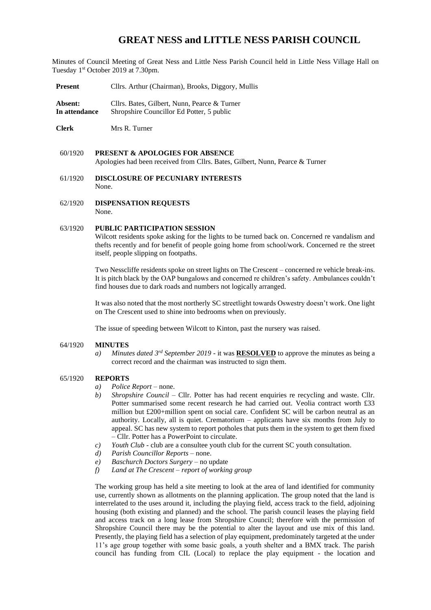# **GREAT NESS and LITTLE NESS PARISH COUNCIL**

Minutes of Council Meeting of Great Ness and Little Ness Parish Council held in Little Ness Village Hall on Tuesday 1<sup>st</sup> October 2019 at 7.30pm.

**Present** Cllrs. Arthur (Chairman), Brooks, Diggory, Mullis

Absent: Cllrs. Bates, Gilbert, Nunn, Pearce & Turner **In attendance** Shropshire Councillor Ed Potter, 5 public

**Clerk** Mrs R. Turner

- 60/1920 **PRESENT & APOLOGIES FOR ABSENCE**  Apologies had been received from Cllrs. Bates, Gilbert, Nunn, Pearce & Turner
- 61/1920 **DISCLOSURE OF PECUNIARY INTERESTS** None.
- 62/1920 **DISPENSATION REQUESTS** None.

#### 63/1920 **PUBLIC PARTICIPATION SESSION**

Wilcott residents spoke asking for the lights to be turned back on. Concerned re vandalism and thefts recently and for benefit of people going home from school/work. Concerned re the street itself, people slipping on footpaths.

Two Nesscliffe residents spoke on street lights on The Crescent – concerned re vehicle break-ins. It is pitch black by the OAP bungalows and concerned re children's safety. Ambulances couldn't find houses due to dark roads and numbers not logically arranged.

It was also noted that the most northerly SC streetlight towards Oswestry doesn't work. One light on The Crescent used to shine into bedrooms when on previously.

The issue of speeding between Wilcott to Kinton, past the nursery was raised.

#### 64/1920 **MINUTES**

*a) Minutes dated 3 rd September 2019* - it was **RESOLVED** to approve the minutes as being a correct record and the chairman was instructed to sign them.

#### 65/1920 **REPORTS**

- *a) Police Report*  none.
- *b) Shropshire Council*  Cllr. Potter has had recent enquiries re recycling and waste. Cllr. Potter summarised some recent research he had carried out. Veolia contract worth £33 million but £200+million spent on social care. Confident SC will be carbon neutral as an authority. Locally, all is quiet. Crematorium – applicants have six months from July to appeal. SC has new system to report potholes that puts them in the system to get them fixed – Cllr. Potter has a PowerPoint to circulate.
- *c) Youth Club* club are a consultee youth club for the current SC youth consultation.
- *d) Parish Councillor Reports* none.
- *e) Baschurch Doctors Surgery* no update
- *f) Land at The Crescent – report of working group*

The working group has held a site meeting to look at the area of land identified for community use, currently shown as allotments on the planning application. The group noted that the land is interrelated to the uses around it, including the playing field, access track to the field, adjoining housing (both existing and planned) and the school. The parish council leases the playing field and access track on a long lease from Shropshire Council; therefore with the permission of Shropshire Council there may be the potential to alter the layout and use mix of this land. Presently, the playing field has a selection of play equipment, predominately targeted at the under 11's age group together with some basic goals, a youth shelter and a BMX track. The parish council has funding from CIL (Local) to replace the play equipment - the location and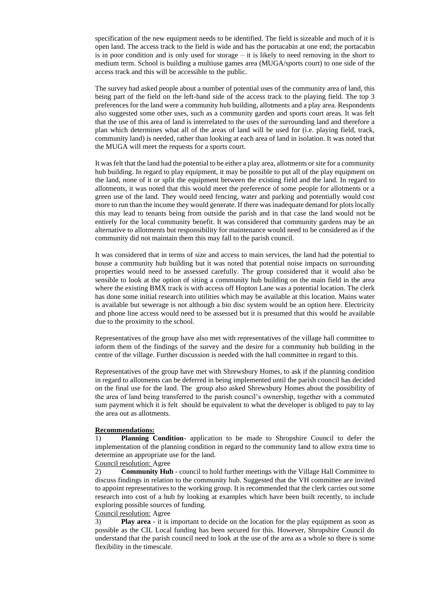specification of the new equipment needs to be identified. The field is sizeable and much of it is open land. The access track to the field is wide and has the portacabin at one end; the portacabin is in poor condition and is only used for storage – it is likely to need removing in the short to medium term. School is building a multiuse games area (MUGA/sports court) to one side of the access track and this will be accessible to the public.

The survey had asked people about a number of potential uses of the community area of land, this being part of the field on the left-hand side of the access track to the playing field. The top 3 preferences for the land were a community hub building, allotments and a play area. Respondents also suggested some other uses, such as a community garden and sports court areas. It was felt that the use of this area of land is interrelated to the uses of the surrounding land and therefore a plan which determines what all of the areas of land will be used for (i.e. playing field, track, community land) is needed, rather than looking at each area of land in isolation. It was noted that the MUGA will meet the requests for a sports court.

It was felt that the land had the potential to be either a play area, allotments or site for a community hub building. In regard to play equipment, it may be possible to put all of the play equipment on the land, none of it or split the equipment between the existing field and the land. In regard to allotments, it was noted that this would meet the preference of some people for allotments or a green use of the land. They would need fencing, water and parking and potentially would cost more to run than the income they would generate. If there was inadequate demand for plots locally this may lead to tenants being from outside the parish and in that case the land would not be entirely for the local community benefit. It was considered that community gardens may be an alternative to allotments but responsibility for maintenance would need to be considered as if the community did not maintain them this may fall to the parish council.

It was considered that in terms of size and access to main services, the land had the potential to house a community hub building but it was noted that potential noise impacts on surrounding properties would need to be assessed carefully. The group considered that it would also be sensible to look at the option of siting a community hub building on the main field in the area where the existing BMX track is with access off Hopton Lane was a potential location. The clerk has done some initial research into utilities which may be available at this location. Mains water is available but sewerage is not although a bio disc system would be an option here. Electricity and phone line access would need to be assessed but it is presumed that this would be available due to the proximity to the school.

Representatives of the group have also met with representatives of the village hall committee to inform them of the findings of the survey and the desire for a community hub building in the centre of the village. Further discussion is needed with the hall committee in regard to this.

Representatives of the group have met with Shrewsbury Homes, to ask if the planning condition in regard to allotments can be deferred in being implemented until the parish council has decided on the final use for the land. The group also asked Shrewsbury Homes about the possibility of the area of land being transferred to the parish council's ownership, together with a commuted sum payment which it is felt should be equivalent to what the developer is obliged to pay to lay the area out as allotments.

### **Recommendations:**

1) **Planning Condition**- application to be made to Shropshire Council to defer the implementation of the planning condition in regard to the community land to allow extra time to determine an appropriate use for the land.

### Council resolution: Agree

2) **Community Hub** - council to hold further meetings with the Village Hall Committee to discuss findings in relation to the community hub. Suggested that the VH committee are invited to appoint representatives to the working group. It is recommended that the clerk carries out some research into cost of a hub by looking at examples which have been built recently, to include exploring possible sources of funding.

### Council resolution: Agree

3) **Play area** - it is important to decide on the location for the play equipment as soon as possible as the CIL Local funding has been secured for this. However, Shropshire Council do understand that the parish council need to look at the use of the area as a whole so there is some flexibility in the timescale.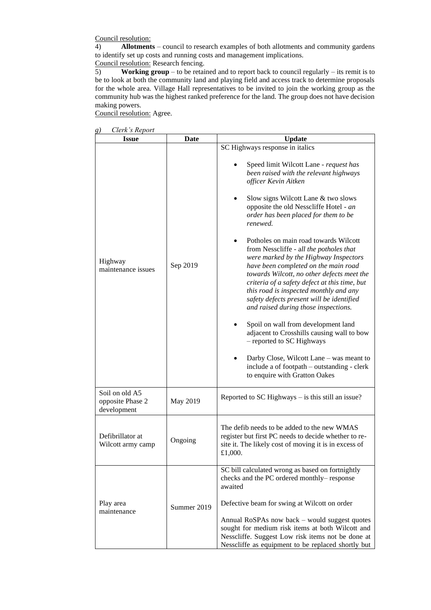Council resolution:

4) **Allotments** – council to research examples of both allotments and community gardens to identify set up costs and running costs and management implications.

Council resolution: Research fencing.

5) **Working group** – to be retained and to report back to council regularly – its remit is to be to look at both the community land and playing field and access track to determine proposals for the whole area. Village Hall representatives to be invited to join the working group as the community hub was the highest ranked preference for the land. The group does not have decision making powers.

Council resolution: Agree.

*g) Clerk's Report*

| $\mu$ un s neport<br><b>Issue</b>                 | Date        | <b>Update</b>                                                                                                                                                                                                                                                                                                                                                                                                                                                                                                                                                                                                                                                                                                                                                                                                                                                                                                                          |  |  |
|---------------------------------------------------|-------------|----------------------------------------------------------------------------------------------------------------------------------------------------------------------------------------------------------------------------------------------------------------------------------------------------------------------------------------------------------------------------------------------------------------------------------------------------------------------------------------------------------------------------------------------------------------------------------------------------------------------------------------------------------------------------------------------------------------------------------------------------------------------------------------------------------------------------------------------------------------------------------------------------------------------------------------|--|--|
| Highway<br>maintenance issues                     | Sep 2019    | SC Highways response in italics<br>Speed limit Wilcott Lane - request has<br>been raised with the relevant highways<br>officer Kevin Aitken<br>Slow signs Wilcott Lane & two slows<br>٠<br>opposite the old Nesscliffe Hotel - an<br>order has been placed for them to be<br>renewed.<br>Potholes on main road towards Wilcott<br>from Nesscliffe - all the potholes that<br>were marked by the Highway Inspectors<br>have been completed on the main road<br>towards Wilcott, no other defects meet the<br>criteria of a safety defect at this time, but<br>this road is inspected monthly and any<br>safety defects present will be identified<br>and raised during those inspections.<br>Spoil on wall from development land<br>adjacent to Crosshills causing wall to bow<br>- reported to SC Highways<br>Darby Close, Wilcott Lane – was meant to<br>include a of footpath - outstanding - clerk<br>to enquire with Gratton Oakes |  |  |
| Soil on old A5<br>opposite Phase 2<br>development | May 2019    | Reported to SC Highways - is this still an issue?                                                                                                                                                                                                                                                                                                                                                                                                                                                                                                                                                                                                                                                                                                                                                                                                                                                                                      |  |  |
| Defibrillator at<br>Wilcott army camp             | Ongoing     | The defib needs to be added to the new WMAS<br>register but first PC needs to decide whether to re-<br>site it. The likely cost of moving it is in excess of<br>£1,000.                                                                                                                                                                                                                                                                                                                                                                                                                                                                                                                                                                                                                                                                                                                                                                |  |  |
| Play area<br>maintenance                          | Summer 2019 | SC bill calculated wrong as based on fortnightly<br>checks and the PC ordered monthly-response<br>awaited<br>Defective beam for swing at Wilcott on order<br>Annual RoSPAs now back - would suggest quotes<br>sought for medium risk items at both Wilcott and<br>Nesscliffe. Suggest Low risk items not be done at<br>Nesscliffe as equipment to be replaced shortly but                                                                                                                                                                                                                                                                                                                                                                                                                                                                                                                                                              |  |  |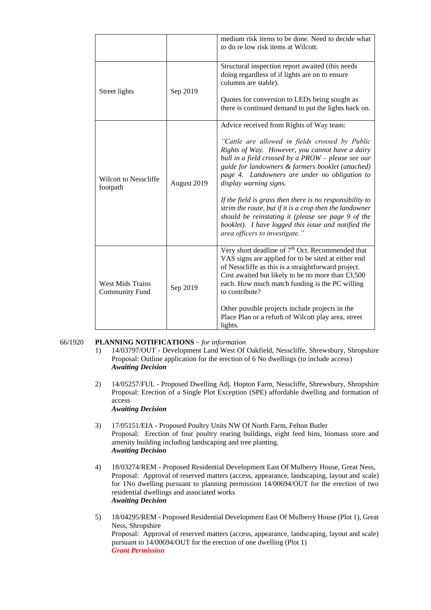|                                                  |             | medium risk items to be done. Need to decide what<br>to do re low risk items at Wilcott.                                                                                                                                                                                                                                                                                                                                                                                                                                                                                                                   |
|--------------------------------------------------|-------------|------------------------------------------------------------------------------------------------------------------------------------------------------------------------------------------------------------------------------------------------------------------------------------------------------------------------------------------------------------------------------------------------------------------------------------------------------------------------------------------------------------------------------------------------------------------------------------------------------------|
| Street lights                                    | Sep 2019    | Structural inspection report awaited (this needs<br>doing regardless of if lights are on to ensure<br>columns are stable).<br>Quotes for conversion to LEDs being sought as<br>there is continued demand to put the lights back on.                                                                                                                                                                                                                                                                                                                                                                        |
| <b>Wilcott to Nesscliffe</b><br>footpath         | August 2019 | Advice received from Rights of Way team:<br>"Cattle are allowed in fields crossed by Public<br>Rights of Way. However, you cannot have a dairy<br>bull in a field crossed by a PROW - please see our<br>guide for landowners & farmers booklet (attached)<br>page 4. Landowners are under no obligation to<br>display warning signs.<br>If the field is grass then there is no responsibility to<br>strim the route, but if it is a crop then the landowner<br>should be reinstating it (please see page 9 of the<br>booklet). I have logged this issue and notified the<br>area officers to investigate." |
| <b>West Mids Trains</b><br><b>Community Fund</b> | Sep 2019    | Very short deadline of 7 <sup>th</sup> Oct. Recommended that<br>VAS signs are applied for to be sited at either end<br>of Nesscliffe as this is a straightforward project.<br>Cost awaited but likely to be no more than £3,500<br>each. How much match funding is the PC willing<br>to contribute?<br>Other possible projects include projects in the<br>Place Plan or a refurb of Wilcott play area, street<br>lights.                                                                                                                                                                                   |

# 66/1920 **PLANNING NOTIFICATIONS** – *for information*

- 1) 14/03797/OUT Development Land West Of Oakfield, Nesscliffe, Shrewsbury, Shropshire Proposal: Outline application for the erection of 6 No dwellings (to include access) *Awaiting Decision*
- 2) 14/05257/FUL Proposed Dwelling Adj. Hopton Farm, Nesscliffe, Shrewsbury, Shropshire Proposal: Erection of a Single Plot Exception (SPE) affordable dwelling and formation of access *Awaiting Decision*
- 3) 17/05151/EIA Proposed Poultry Units NW Of North Farm, Felton Butler Proposal: Erection of four poultry rearing buildings, eight feed bins, biomass store and amenity building including landscaping and tree planting. *Awaiting Decision*
- 4) 18/03274/REM Proposed Residential Development East Of Mulberry House, Great Ness, Proposal: Approval of reserved matters (access, appearance, landscaping, layout and scale) for 1No dwelling pursuant to planning permission 14/00694/OUT for the erection of two residential dwellings and associated works *Awaiting Decision*
- 5) 18/04295/REM Proposed Residential Development East Of Mulberry House (Plot 1), Great Ness, Shropshire Proposal: Approval of reserved matters (access, appearance, landscaping, layout and scale) pursuant to 14/00694/OUT for the erection of one dwelling (Plot 1) *Grant Permission*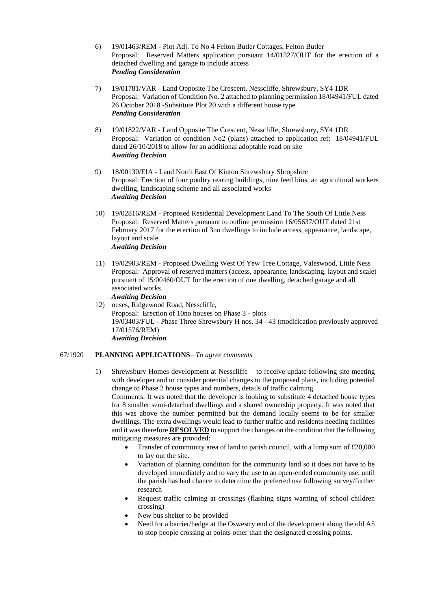- 6) 19/01463/REM Plot Adj. To No 4 Felton Butler Cottages, Felton Butler Proposal: Reserved Matters application pursuant 14/01327/OUT for the erection of a detached dwelling and garage to include access *Pending Consideration*
- 7) 19/01781/VAR Land Opposite The Crescent, Nesscliffe, Shrewsbury, SY4 1DR Proposal: Variation of Condition No. 2 attached to planning permission 18/04941/FUL dated 26 October 2018 -Substitute Plot 20 with a different house type *Pending Consideration*
- 8) 19/01822/VAR Land Opposite The Crescent, Nesscliffe, Shrewsbury, SY4 1DR Proposal: Variation of condition No2 (plans) attached to application ref: 18/04941/FUL dated 26/10/2018 to allow for an additional adoptable road on site *Awaiting Decision*
- 9) 18/00130/EIA Land North East Of Kinton Shrewsbury Shropshire Proposal: Erection of four poultry rearing buildings, nine feed bins, an agricultural workers dwelling, landscaping scheme and all associated works *Awaiting Decision*
- 10) 19/02816/REM Proposed Residential Development Land To The South Of Little Ness Proposal: Reserved Matters pursuant to outline permission 16/05637/OUT dated 21st February 2017 for the erection of 3no dwellings to include access, appearance, landscape, layout and scale *Awaiting Decision*
- 11) 19/02903/REM Proposed Dwelling West Of Yew Tree Cottage, Valeswood, Little Ness Proposal: Approval of reserved matters (access, appearance, landscaping, layout and scale) pursuant of 15/00460/OUT for the erection of one dwelling, detached garage and all associated works *Awaiting Decision*
- 12) ouses, Ridgewood Road, Nesscliffe, Proposal: Erection of 10no houses on Phase 3 - plots 19/03403/FUL - Phase Three Shrewsbury H nos. 34 - 43 (modification previously approved 17/01576/REM) *Awaiting Decision*

## 67/1920 **PLANNING APPLICATIONS**– *To agree comments*

- 1) Shrewsbury Homes development at Nesscliffe to receive update following site meeting with developer and to consider potential changes to the proposed plans, including potential change to Phase 2 house types and numbers, details of traffic calming Comments: It was noted that the developer is looking to substitute 4 detached house types for 8 smaller semi-detached dwellings and a shared ownership property. It was noted that this was above the number permitted but the demand locally seems to be for smaller dwellings. The extra dwellings would lead to further traffic and residents needing facilities and it was therefore **RESOLVED** to support the changes on the condition that the following mitigating measures are provided:
	- Transfer of community area of land to parish council, with a lump sum of £20,000 to lay out the site.
	- Variation of planning condition for the community land so it does not have to be developed immediately and to vary the use to an open-ended community use, until the parish has had chance to determine the preferred use following survey/further research
	- Request traffic calming at crossings (flashing signs warning of school children crossing)
	- New bus shelter to be provided
	- Need for a barrier/hedge at the Oswestry end of the development along the old A5 to stop people crossing at points other than the designated crossing points.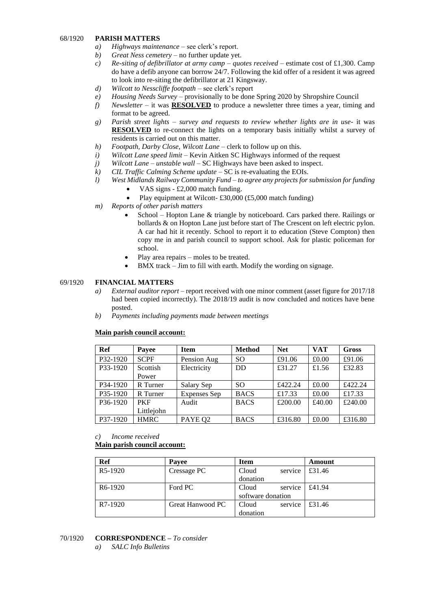### 68/1920 **PARISH MATTERS**

- *a) Highways maintenance* see clerk's report.
- *b) Great Ness cemetery –* no further update yet.
- *c) Re-siting of defibrillator at army camp – quotes received* estimate cost of £1,300. Camp do have a defib anyone can borrow 24/7. Following the kid offer of a resident it was agreed to look into re-siting the defibrillator at 21 Kingsway.
- *d) Wilcott to Nesscliffe footpath* see clerk's report
- *e) Housing Needs Survey* provisionally to be done Spring 2020 by Shropshire Council
- *f) Newsletter* it was **RESOLVED** to produce a newsletter three times a year, timing and format to be agreed.
- *g) Parish street lights – survey and requests to review whether lights are in use* it was **RESOLVED** to re-connect the lights on a temporary basis initially whilst a survey of residents is carried out on this matter.
- *h*) *Footpath, Darby Close, Wilcott Lane* clerk to follow up on this.
- *i) Wilcott Lane speed limit –* Kevin Aitken SC Highways informed of the request
- *j) Wilcott Lane – unstable wall* SC Highways have been asked to inspect.
- *k) CIL Traffic Calming Scheme update* SC is re-evaluating the EOIs.
- *l) West Midlands Railway Community Fund – to agree any projects for submission for funding*
	- VAS signs £2,000 match funding.
	- Play equipment at Wilcott- £30,000 (£5,000 match funding)
- *m) Reports of other parish matters*
	- School Hopton Lane & triangle by noticeboard. Cars parked there. Railings or bollards & on Hopton Lane just before start of The Crescent on left electric pylon. A car had hit it recently. School to report it to education (Steve Compton) then copy me in and parish council to support school. Ask for plastic policeman for school.
	- Play area repairs moles to be treated.
	- BMX track Jim to fill with earth. Modify the wording on signage.

### 69/1920 **FINANCIAL MATTERS**

- *a) External auditor report –* report received with one minor comment (asset figure for 2017/18 had been copied incorrectly). The 2018/19 audit is now concluded and notices have bene posted.
- *b) Payments including payments made between meetings*

#### **Main parish council account:**

| Ref                   | Payee       | <b>Item</b>         | <b>Method</b> | <b>Net</b> | <b>VAT</b> | <b>Gross</b> |
|-----------------------|-------------|---------------------|---------------|------------|------------|--------------|
| P32-1920              | <b>SCPF</b> | Pension Aug         | <sub>SO</sub> | £91.06     | £0.00      | £91.06       |
| P <sub>3</sub> 3-1920 | Scottish    | Electricity         | <b>DD</b>     | £31.27     | £1.56      | £32.83       |
|                       | Power       |                     |               |            |            |              |
| P34-1920              | R Turner    | Salary Sep          | <sub>SO</sub> | £422.24    | £0.00      | £422.24      |
| P35-1920              | R Turner    | <b>Expenses</b> Sep | <b>BACS</b>   | £17.33     | £0.00      | £17.33       |
| P <sub>36</sub> -1920 | <b>PKF</b>  | Audit               | <b>BACS</b>   | £200.00    | £40.00     | £240.00      |
|                       | Littlejohn  |                     |               |            |            |              |
| P37-1920              | <b>HMRC</b> | PAYE Q <sub>2</sub> | <b>BACS</b>   | £316.80    | £0.00      | £316.80      |

#### *c) Income received*

**Main parish council account:**

| Ref                  | <b>Payee</b>     | Item              |         | Amount |
|----------------------|------------------|-------------------|---------|--------|
| R5-1920              | Cressage PC      | Cloud             | service | £31.46 |
|                      |                  | donation          |         |        |
| R <sub>6</sub> -1920 | Ford PC          | Cloud             | service | £41.94 |
|                      |                  | software donation |         |        |
| R7-1920              | Great Hanwood PC | Cloud             | service | £31.46 |
|                      |                  | donation          |         |        |

#### 70/1920 **CORRESPONDENCE –** *To consider*

*a) SALC Info Bulletins*